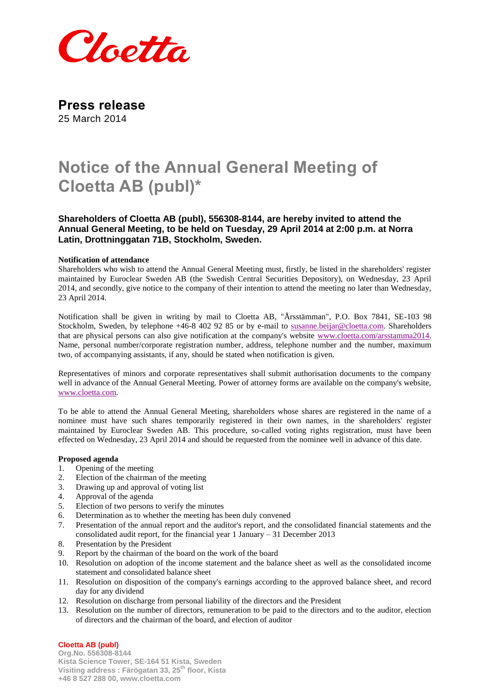

**Press release** 25 March 2014

# **Notice of the Annual General Meeting of Cloetta AB (publ)\***

**Shareholders of Cloetta AB (publ), 556308-8144, are hereby invited to attend the Annual General Meeting, to be held on Tuesday, 29 April 2014 at 2:00 p.m. at Norra Latin, Drottninggatan 71B, Stockholm, Sweden.**

#### **Notification of attendance**

Shareholders who wish to attend the Annual General Meeting must, firstly, be listed in the shareholders' register maintained by Euroclear Sweden AB (the Swedish Central Securities Depository), on Wednesday, 23 April 2014, and secondly, give notice to the company of their intention to attend the meeting no later than Wednesday, 23 April 2014.

Notification shall be given in writing by mail to Cloetta AB, "Årsstämman", P.O. Box 7841, SE-103 98 Stockholm, Sweden, by telephone +46-8 402 92 85 or by e-mail to [susanne.beijar@cloetta.com.](mailto:susanne.beijar@cloetta.com) Shareholders that are physical persons can also give notification at the company's website [www.cloetta.com/arsstamma2014.](http://www.cloetta.com/arsstamma2014) Name, personal number/corporate registration number, address, telephone number and the number, maximum two, of accompanying assistants, if any, should be stated when notification is given.

Representatives of minors and corporate representatives shall submit authorisation documents to the company well in advance of the Annual General Meeting. Power of attorney forms are available on the company's website, [www.cloetta.com.](http://www.cloetta.com/)

To be able to attend the Annual General Meeting, shareholders whose shares are registered in the name of a nominee must have such shares temporarily registered in their own names, in the shareholders' register maintained by Euroclear Sweden AB. This procedure, so-called voting rights registration, must have been effected on Wednesday, 23 April 2014 and should be requested from the nominee well in advance of this date.

#### **Proposed agenda**

- 1. Opening of the meeting
- 2. Election of the chairman of the meeting
- 3. Drawing up and approval of voting list
- 4. Approval of the agenda
- 5. Election of two persons to verify the minutes
- 6. Determination as to whether the meeting has been duly convened
- 7. Presentation of the annual report and the auditor's report, and the consolidated financial statements and the consolidated audit report, for the financial year 1 January – 31 December 2013
- 8. Presentation by the President
- 9. Report by the chairman of the board on the work of the board
- 10. Resolution on adoption of the income statement and the balance sheet as well as the consolidated income statement and consolidated balance sheet
- 11. Resolution on disposition of the company's earnings according to the approved balance sheet, and record day for any dividend
- 12. Resolution on discharge from personal liability of the directors and the President
- 13. Resolution on the number of directors, remuneration to be paid to the directors and to the auditor, election of directors and the chairman of the board, and election of auditor

# **Cloetta AB (publ)**

**Org.No. 556308-8144 Kista Science Tower, SE-164 51 Kista, Sweden Visiting address : Färögatan 33, 25th floor, Kista +46 8 527 288 00, www.cloetta.com**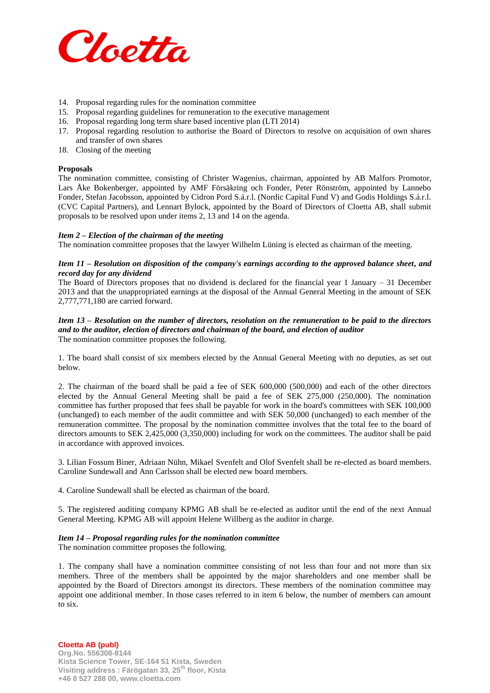

- 14. Proposal regarding rules for the nomination committee
- 15. Proposal regarding guidelines for remuneration to the executive management
- 16. Proposal regarding long term share based incentive plan (LTI 2014)
- 17. Proposal regarding resolution to authorise the Board of Directors to resolve on acquisition of own shares and transfer of own shares
- 18. Closing of the meeting

#### **Proposals**

The nomination committee, consisting of Christer Wagenius, chairman, appointed by AB Malfors Promotor, Lars Åke Bokenberger, appointed by AMF Försäkring och Fonder, Peter Rönström, appointed by Lannebo Fonder, Stefan Jacobsson, appointed by Cidron Pord S.á.r.l. (Nordic Capital Fund V) and Godis Holdings S.á.r.l. (CVC Capital Partners), and Lennart Bylock, appointed by the Board of Directors of Cloetta AB, shall submit proposals to be resolved upon under items 2, 13 and 14 on the agenda.

## *Item 2 – Election of the chairman of the meeting*

The nomination committee proposes that the lawyer Wilhelm Lüning is elected as chairman of the meeting.

## *Item 11 – Resolution on disposition of the company's earnings according to the approved balance sheet, and record day for any dividend*

The Board of Directors proposes that no dividend is declared for the financial year 1 January – 31 December 2013 and that the unappropriated earnings at the disposal of the Annual General Meeting in the amount of SEK 2,777,771,180 are carried forward.

#### *Item 13 – Resolution on the number of directors, resolution on the remuneration to be paid to the directors and to the auditor, election of directors and chairman of the board, and election of auditor* The nomination committee proposes the following.

1. The board shall consist of six members elected by the Annual General Meeting with no deputies, as set out below.

2. The chairman of the board shall be paid a fee of SEK 600,000 (500,000) and each of the other directors elected by the Annual General Meeting shall be paid a fee of SEK 275,000 (250,000). The nomination committee has further proposed that fees shall be payable for work in the board's committees with SEK 100,000 (unchanged) to each member of the audit committee and with SEK 50,000 (unchanged) to each member of the remuneration committee. The proposal by the nomination committee involves that the total fee to the board of directors amounts to SEK 2,425,000 (3,350,000) including for work on the committees. The auditor shall be paid in accordance with approved invoices.

3. Lilian Fossum Biner, Adriaan Nühn, Mikael Svenfelt and Olof Svenfelt shall be re-elected as board members. Caroline Sundewall and Ann Carlsson shall be elected new board members.

4. Caroline Sundewall shall be elected as chairman of the board.

5. The registered auditing company KPMG AB shall be re-elected as auditor until the end of the next Annual General Meeting. KPMG AB will appoint Helene Willberg as the auditor in charge.

#### *Item 14 – Proposal regarding rules for the nomination committee*

The nomination committee proposes the following.

1. The company shall have a nomination committee consisting of not less than four and not more than six members. Three of the members shall be appointed by the major shareholders and one member shall be appointed by the Board of Directors amongst its directors. These members of the nomination committee may appoint one additional member. In those cases referred to in item 6 below, the number of members can amount to six.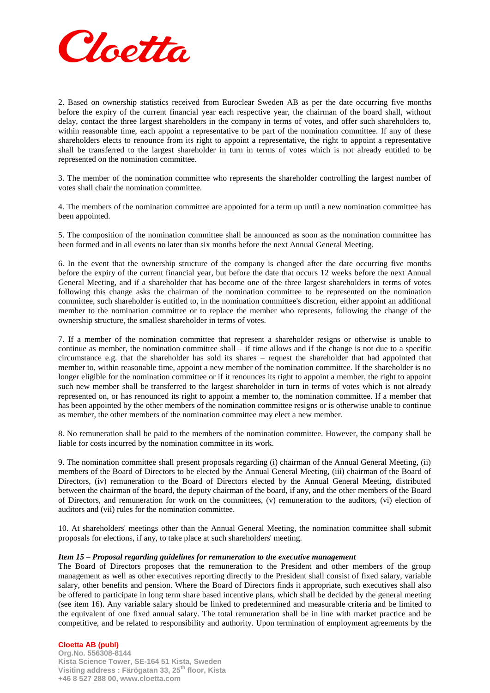

2. Based on ownership statistics received from Euroclear Sweden AB as per the date occurring five months before the expiry of the current financial year each respective year, the chairman of the board shall, without delay, contact the three largest shareholders in the company in terms of votes, and offer such shareholders to, within reasonable time, each appoint a representative to be part of the nomination committee. If any of these shareholders elects to renounce from its right to appoint a representative, the right to appoint a representative shall be transferred to the largest shareholder in turn in terms of votes which is not already entitled to be represented on the nomination committee.

3. The member of the nomination committee who represents the shareholder controlling the largest number of votes shall chair the nomination committee.

4. The members of the nomination committee are appointed for a term up until a new nomination committee has been appointed.

5. The composition of the nomination committee shall be announced as soon as the nomination committee has been formed and in all events no later than six months before the next Annual General Meeting.

6. In the event that the ownership structure of the company is changed after the date occurring five months before the expiry of the current financial year, but before the date that occurs 12 weeks before the next Annual General Meeting, and if a shareholder that has become one of the three largest shareholders in terms of votes following this change asks the chairman of the nomination committee to be represented on the nomination committee, such shareholder is entitled to, in the nomination committee's discretion, either appoint an additional member to the nomination committee or to replace the member who represents, following the change of the ownership structure, the smallest shareholder in terms of votes.

7. If a member of the nomination committee that represent a shareholder resigns or otherwise is unable to continue as member, the nomination committee shall – if time allows and if the change is not due to a specific circumstance e.g. that the shareholder has sold its shares – request the shareholder that had appointed that member to, within reasonable time, appoint a new member of the nomination committee. If the shareholder is no longer eligible for the nomination committee or if it renounces its right to appoint a member, the right to appoint such new member shall be transferred to the largest shareholder in turn in terms of votes which is not already represented on, or has renounced its right to appoint a member to, the nomination committee. If a member that has been appointed by the other members of the nomination committee resigns or is otherwise unable to continue as member, the other members of the nomination committee may elect a new member.

8. No remuneration shall be paid to the members of the nomination committee. However, the company shall be liable for costs incurred by the nomination committee in its work.

9. The nomination committee shall present proposals regarding (i) chairman of the Annual General Meeting, (ii) members of the Board of Directors to be elected by the Annual General Meeting, (iii) chairman of the Board of Directors, (iv) remuneration to the Board of Directors elected by the Annual General Meeting, distributed between the chairman of the board, the deputy chairman of the board, if any, and the other members of the Board of Directors, and remuneration for work on the committees, (v) remuneration to the auditors, (vi) election of auditors and (vii) rules for the nomination committee.

10. At shareholders' meetings other than the Annual General Meeting, the nomination committee shall submit proposals for elections, if any, to take place at such shareholders' meeting.

## *Item 15 – Proposal regarding guidelines for remuneration to the executive management*

The Board of Directors proposes that the remuneration to the President and other members of the group management as well as other executives reporting directly to the President shall consist of fixed salary, variable salary, other benefits and pension. Where the Board of Directors finds it appropriate, such executives shall also be offered to participate in long term share based incentive plans, which shall be decided by the general meeting (see item 16). Any variable salary should be linked to predetermined and measurable criteria and be limited to the equivalent of one fixed annual salary. The total remuneration shall be in line with market practice and be competitive, and be related to responsibility and authority. Upon termination of employment agreements by the

# **Cloetta AB (publ)**

**Org.No. 556308-8144 Kista Science Tower, SE-164 51 Kista, Sweden Visiting address : Färögatan 33, 25th floor, Kista +46 8 527 288 00, www.cloetta.com**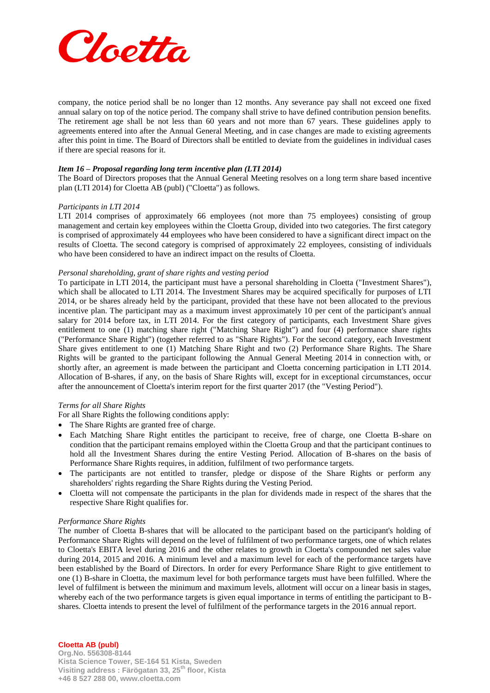

company, the notice period shall be no longer than 12 months. Any severance pay shall not exceed one fixed annual salary on top of the notice period. The company shall strive to have defined contribution pension benefits. The retirement age shall be not less than 60 years and not more than 67 years. These guidelines apply to agreements entered into after the Annual General Meeting, and in case changes are made to existing agreements after this point in time. The Board of Directors shall be entitled to deviate from the guidelines in individual cases if there are special reasons for it.

#### *Item 16 – Proposal regarding long term incentive plan (LTI 2014)*

The Board of Directors proposes that the Annual General Meeting resolves on a long term share based incentive plan (LTI 2014) for Cloetta AB (publ) ("Cloetta") as follows.

## *Participants in LTI 2014*

LTI 2014 comprises of approximately 66 employees (not more than 75 employees) consisting of group management and certain key employees within the Cloetta Group, divided into two categories. The first category is comprised of approximately 44 employees who have been considered to have a significant direct impact on the results of Cloetta. The second category is comprised of approximately 22 employees, consisting of individuals who have been considered to have an indirect impact on the results of Cloetta.

## *Personal shareholding, grant of share rights and vesting period*

To participate in LTI 2014, the participant must have a personal shareholding in Cloetta ("Investment Shares"), which shall be allocated to LTI 2014. The Investment Shares may be acquired specifically for purposes of LTI 2014, or be shares already held by the participant, provided that these have not been allocated to the previous incentive plan. The participant may as a maximum invest approximately 10 per cent of the participant's annual salary for 2014 before tax, in LTI 2014. For the first category of participants, each Investment Share gives entitlement to one (1) matching share right ("Matching Share Right") and four (4) performance share rights ("Performance Share Right") (together referred to as "Share Rights"). For the second category, each Investment Share gives entitlement to one (1) Matching Share Right and two (2) Performance Share Rights. The Share Rights will be granted to the participant following the Annual General Meeting 2014 in connection with, or shortly after, an agreement is made between the participant and Cloetta concerning participation in LTI 2014. Allocation of B-shares, if any, on the basis of Share Rights will, except for in exceptional circumstances, occur after the announcement of Cloetta's interim report for the first quarter 2017 (the "Vesting Period").

# *Terms for all Share Rights*

For all Share Rights the following conditions apply:

- The Share Rights are granted free of charge.
- Each Matching Share Right entitles the participant to receive, free of charge, one Cloetta B-share on condition that the participant remains employed within the Cloetta Group and that the participant continues to hold all the Investment Shares during the entire Vesting Period. Allocation of B-shares on the basis of Performance Share Rights requires, in addition, fulfilment of two performance targets.
- The participants are not entitled to transfer, pledge or dispose of the Share Rights or perform any shareholders' rights regarding the Share Rights during the Vesting Period.
- Cloetta will not compensate the participants in the plan for dividends made in respect of the shares that the respective Share Right qualifies for.

#### *Performance Share Rights*

The number of Cloetta B-shares that will be allocated to the participant based on the participant's holding of Performance Share Rights will depend on the level of fulfilment of two performance targets, one of which relates to Cloetta's EBITA level during 2016 and the other relates to growth in Cloetta's compounded net sales value during 2014, 2015 and 2016. A minimum level and a maximum level for each of the performance targets have been established by the Board of Directors. In order for every Performance Share Right to give entitlement to one (1) B-share in Cloetta, the maximum level for both performance targets must have been fulfilled. Where the level of fulfilment is between the minimum and maximum levels, allotment will occur on a linear basis in stages, whereby each of the two performance targets is given equal importance in terms of entitling the participant to Bshares. Cloetta intends to present the level of fulfilment of the performance targets in the 2016 annual report.

# **Cloetta AB (publ)**

**Org.No. 556308-8144 Kista Science Tower, SE-164 51 Kista, Sweden Visiting address : Färögatan 33, 25th floor, Kista +46 8 527 288 00, www.cloetta.com**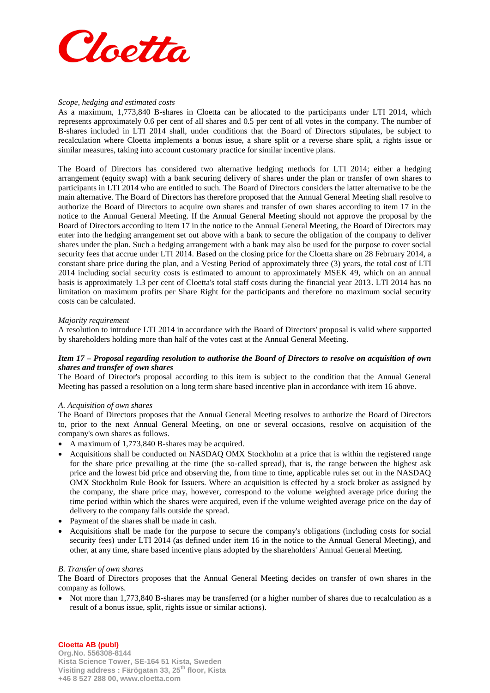

## *Scope, hedging and estimated costs*

As a maximum, 1,773,840 B-shares in Cloetta can be allocated to the participants under LTI 2014, which represents approximately 0.6 per cent of all shares and 0.5 per cent of all votes in the company. The number of B-shares included in LTI 2014 shall, under conditions that the Board of Directors stipulates, be subject to recalculation where Cloetta implements a bonus issue, a share split or a reverse share split, a rights issue or similar measures, taking into account customary practice for similar incentive plans.

The Board of Directors has considered two alternative hedging methods for LTI 2014; either a hedging arrangement (equity swap) with a bank securing delivery of shares under the plan or transfer of own shares to participants in LTI 2014 who are entitled to such. The Board of Directors considers the latter alternative to be the main alternative. The Board of Directors has therefore proposed that the Annual General Meeting shall resolve to authorize the Board of Directors to acquire own shares and transfer of own shares according to item 17 in the notice to the Annual General Meeting. If the Annual General Meeting should not approve the proposal by the Board of Directors according to item 17 in the notice to the Annual General Meeting, the Board of Directors may enter into the hedging arrangement set out above with a bank to secure the obligation of the company to deliver shares under the plan. Such a hedging arrangement with a bank may also be used for the purpose to cover social security fees that accrue under LTI 2014. Based on the closing price for the Cloetta share on 28 February 2014, a constant share price during the plan, and a Vesting Period of approximately three (3) years, the total cost of LTI 2014 including social security costs is estimated to amount to approximately MSEK 49, which on an annual basis is approximately 1.3 per cent of Cloetta's total staff costs during the financial year 2013. LTI 2014 has no limitation on maximum profits per Share Right for the participants and therefore no maximum social security costs can be calculated.

#### *Majority requirement*

A resolution to introduce LTI 2014 in accordance with the Board of Directors' proposal is valid where supported by shareholders holding more than half of the votes cast at the Annual General Meeting.

## *Item 17 – Proposal regarding resolution to authorise the Board of Directors to resolve on acquisition of own shares and transfer of own shares*

The Board of Director's proposal according to this item is subject to the condition that the Annual General Meeting has passed a resolution on a long term share based incentive plan in accordance with item 16 above.

#### *A. Acquisition of own shares*

The Board of Directors proposes that the Annual General Meeting resolves to authorize the Board of Directors to, prior to the next Annual General Meeting, on one or several occasions, resolve on acquisition of the company's own shares as follows.

- A maximum of 1,773,840 B-shares may be acquired.
- Acquisitions shall be conducted on NASDAQ OMX Stockholm at a price that is within the registered range for the share price prevailing at the time (the so-called spread), that is, the range between the highest ask price and the lowest bid price and observing the, from time to time, applicable rules set out in the NASDAQ OMX Stockholm Rule Book for Issuers. Where an acquisition is effected by a stock broker as assigned by the company, the share price may, however, correspond to the volume weighted average price during the time period within which the shares were acquired, even if the volume weighted average price on the day of delivery to the company falls outside the spread.
- Payment of the shares shall be made in cash.
- Acquisitions shall be made for the purpose to secure the company's obligations (including costs for social security fees) under LTI 2014 (as defined under item 16 in the notice to the Annual General Meeting), and other, at any time, share based incentive plans adopted by the shareholders' Annual General Meeting.

#### *B. Transfer of own shares*

The Board of Directors proposes that the Annual General Meeting decides on transfer of own shares in the company as follows.

• Not more than 1,773,840 B-shares may be transferred (or a higher number of shares due to recalculation as a result of a bonus issue, split, rights issue or similar actions).

# **Cloetta AB (publ)**